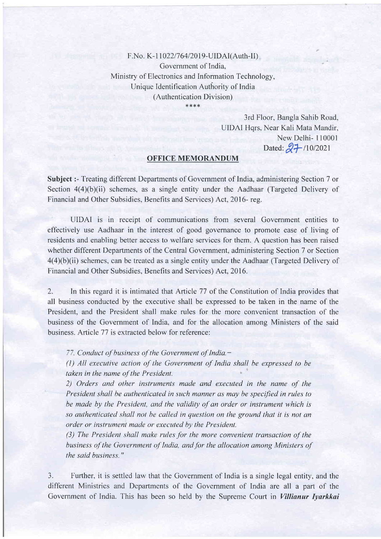F.No. K-11022/764/2019-UIDAI(Auth-II) Government of India, Ministry of Electronics and Information Technology, Unique Identification Authority of India (Authentication Division)

\*\*\*\*

3rd Floor, Bangla Sahib Road, UIDAI Hqrs, Near Kali Mata Mandir, New Delhi- I 10001 Dated:  $27/10/2021$ 

## OFFICE MEMORANDUM

Subject: - Treating different Departments of Government of India, administering Section 7 or Section  $4(4)(b)(ii)$  schemes, as a single entity under the Aadhaar (Targeted Delivery of Financial and Other Subsidies, Benefits and Services) Act, 2016- reg.

UIDAI is in receipt of communications from several Government entities to effectively use Aadhaar in the interest of good governance to promote ease of living of residents and enabling better access to welfare services for them. A question has been raised whether different Departments of the Central Government, administering Section 7 or Section  $4(4)(b)(ii)$  schemes, can be treated as a single entity under the Aadhaar (Targeted Delivery of Financial and Other Subsidies, Benefits and Services) Act, 2016.

2. In this regard it is intimated that Article 77 of the Constitution of India provides that all business conducted by the executive shall be expressed to be taken in the name of the President, and the President shall make rules for the more convenient transaction of the business of the Government of India, and for the allocation among Ministers of the said business. Article 77 is extracted below for reference:

77. Conduct of business of the Government of India.-

(l) All executive action of the Government of India shall be expressed to be taken in the name of the President.

2) Orders and other instruments made and executed in the name of the President shall be authenticated in such manner as may be specified in rules to be made by the President, and the validity of an order or instrument which is so authenticated shall not be called in question on the ground that it is not an order or instrumenl made or executed by the President.

(3) The President shall make rules for the more convenient transaction of the business of the Government of India, and for the allocation among Ministers of the said business."

3. Further, it is settled law that the Government of India is a single legal entity, and the different Ministries and Departments of the Government of India are all a part of the Government of India. This has been so held by the Supreme Court in Villianur Iyarkkai